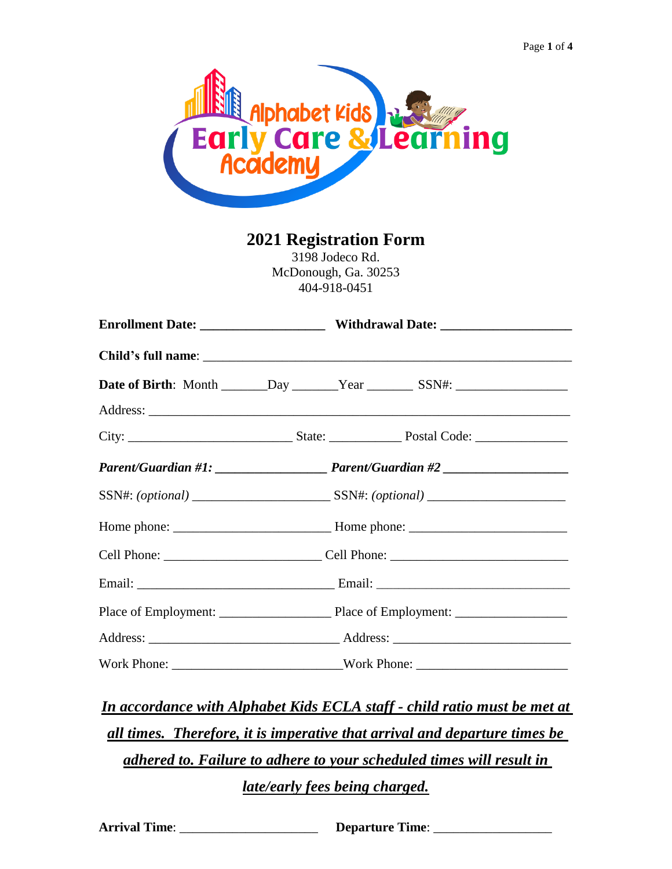

**2021 Registration Form**

3198 Jodeco Rd. McDonough, Ga. 30253 404-918-0451

|  |                                                                                  | Cell Phone: _______________________________Cell Phone: __________________________ |  |
|--|----------------------------------------------------------------------------------|-----------------------------------------------------------------------------------|--|
|  |                                                                                  |                                                                                   |  |
|  |                                                                                  |                                                                                   |  |
|  |                                                                                  |                                                                                   |  |
|  | Work Phone: _________________________________Work Phone: _______________________ |                                                                                   |  |

*In accordance with Alphabet Kids ECLA staff - child ratio must be met at all times. Therefore, it is imperative that arrival and departure times be adhered to. Failure to adhere to your scheduled times will result in late/early fees being charged.*

**Arrival Time**: \_\_\_\_\_\_\_\_\_\_\_\_\_\_\_\_\_\_\_\_\_ **Departure Time**: \_\_\_\_\_\_\_\_\_\_\_\_\_\_\_\_\_\_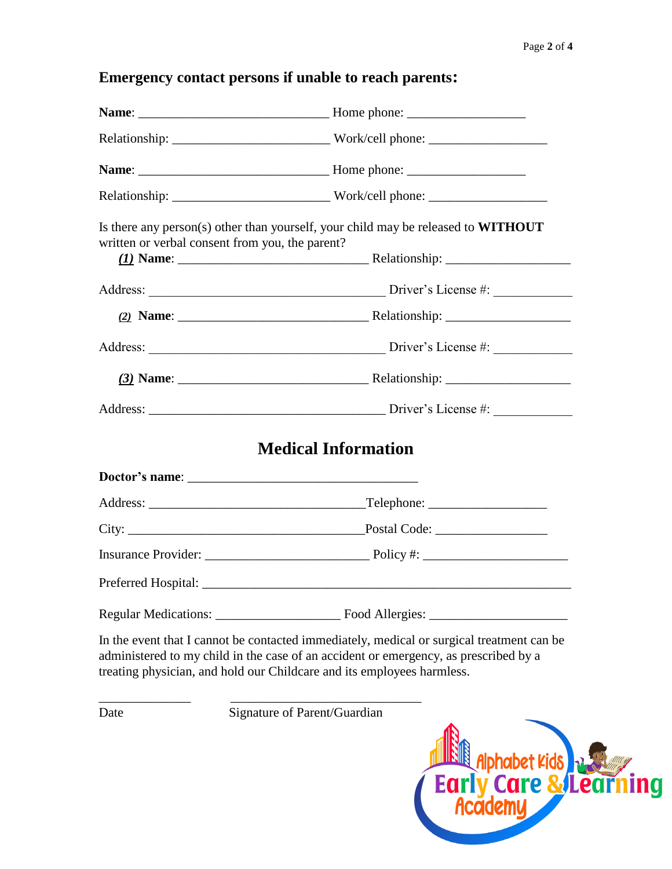g

## **Emergency contact persons if unable to reach parents:**

|      | Relationship: _________________________________Work/cell phone: ________________                                                                                                                                                                            |
|------|-------------------------------------------------------------------------------------------------------------------------------------------------------------------------------------------------------------------------------------------------------------|
|      |                                                                                                                                                                                                                                                             |
|      |                                                                                                                                                                                                                                                             |
|      | Is there any person(s) other than yourself, your child may be released to WITHOUT<br>written or verbal consent from you, the parent?                                                                                                                        |
|      |                                                                                                                                                                                                                                                             |
|      |                                                                                                                                                                                                                                                             |
|      |                                                                                                                                                                                                                                                             |
|      |                                                                                                                                                                                                                                                             |
|      |                                                                                                                                                                                                                                                             |
|      | <b>Medical Information</b>                                                                                                                                                                                                                                  |
|      |                                                                                                                                                                                                                                                             |
|      |                                                                                                                                                                                                                                                             |
|      |                                                                                                                                                                                                                                                             |
|      |                                                                                                                                                                                                                                                             |
|      |                                                                                                                                                                                                                                                             |
|      | In the event that I cannot be contacted immediately, medical or surgical treatment can be<br>administered to my child in the case of an accident or emergency, as prescribed by a<br>treating physician, and hold our Childcare and its employees harmless. |
| Date | Signature of Parent/Guardian<br><b>Elle Alphabet Kids 3: Elle Alphabet Kids 3: Elle Alphabet Kids 3: Elle Alphabet Kids 3: Elle Alphabet Kids 3: E<br/>Academy</b>                                                                                          |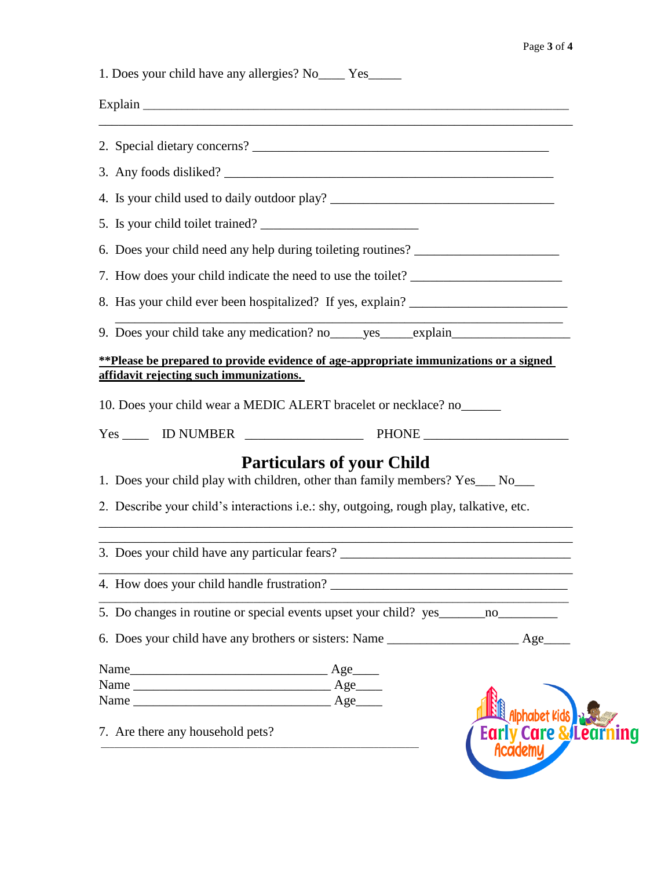| 1. Does your child have any allergies? No ______ Yes________                                                                                                                                                                                                                          |  |
|---------------------------------------------------------------------------------------------------------------------------------------------------------------------------------------------------------------------------------------------------------------------------------------|--|
|                                                                                                                                                                                                                                                                                       |  |
|                                                                                                                                                                                                                                                                                       |  |
|                                                                                                                                                                                                                                                                                       |  |
| 4. Is your child used to daily outdoor play? ___________________________________                                                                                                                                                                                                      |  |
| 5. Is your child toilet trained?                                                                                                                                                                                                                                                      |  |
| 6. Does your child need any help during toileting routines? ____________________                                                                                                                                                                                                      |  |
| 7. How does your child indicate the need to use the toilet? ____________________                                                                                                                                                                                                      |  |
| 8. Has your child ever been hospitalized? If yes, explain? ______________________                                                                                                                                                                                                     |  |
| the control of the control of the control of the control of the<br>9. Does your child take any medication? no ______ yes ______ explain_____________                                                                                                                                  |  |
| **Please be prepared to provide evidence of age-appropriate immunizations or a signed                                                                                                                                                                                                 |  |
| 10. Does your child wear a MEDIC ALERT bracelet or necklace? no<br><b>Particulars of your Child</b><br>1. Does your child play with children, other than family members? Yes__ No__<br>2. Describe your child's interactions <i>i.e.</i> : shy, outgoing, rough play, talkative, etc. |  |
| 3. Does your child have any particular fears? ___________________________________                                                                                                                                                                                                     |  |
|                                                                                                                                                                                                                                                                                       |  |
| 5. Do changes in routine or special events upset your child? yes ________________                                                                                                                                                                                                     |  |
| 6. Does your child have any brothers or sisters: Name ___________________________ Age_____                                                                                                                                                                                            |  |
| 7. Are there any household pets?<br><b>Care &amp;lea</b><br>Academy                                                                                                                                                                                                                   |  |